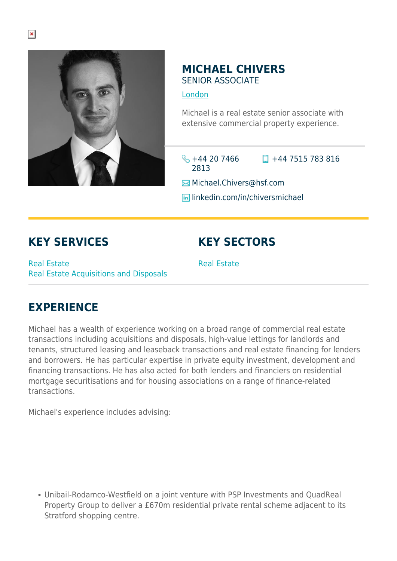

#### **MICHAEL CHIVERS** SENIOR ASSOCIATE

#### [London](https://www.herbertsmithfreehills.com/where-we-work/london)

Michael is a real estate senior associate with extensive commercial property experience.

 $\frac{1}{2} + 44$  20 7466 2813  $\Box$  +44 7515 783 816

**E**Michael.Chivers@hsf.com

**lin** linkedin.com/in/chiversmichael

## **KEY SERVICES**

Real Estate Real Estate Acquisitions and Disposals

# **KEY SECTORS**

Real Estate

### **EXPERIENCE**

Michael has a wealth of experience working on a broad range of commercial real estate transactions including acquisitions and disposals, high-value lettings for landlords and tenants, structured leasing and leaseback transactions and real estate financing for lenders and borrowers. He has particular expertise in private equity investment, development and financing transactions. He has also acted for both lenders and financiers on residential mortgage securitisations and for housing associations on a range of finance-related transactions.

Michael's experience includes advising:

Unibail-Rodamco-Westfield on a joint venture with PSP Investments and QuadReal Property Group to deliver a £670m residential private rental scheme adjacent to its Stratford shopping centre.